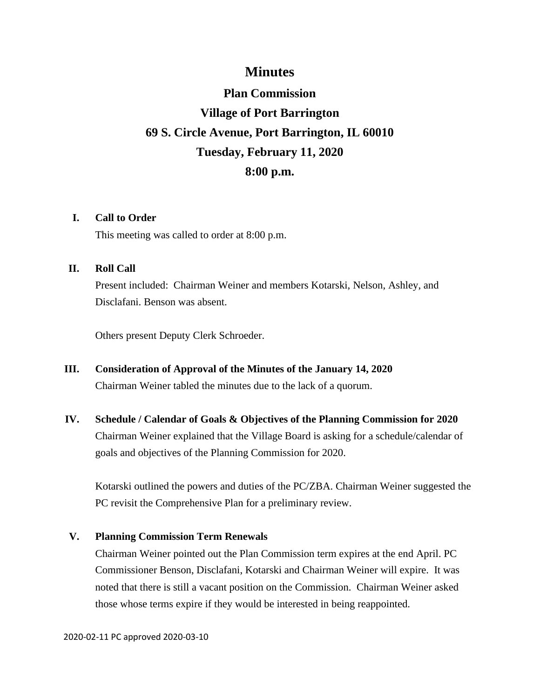# **Minutes**

# **Plan Commission Village of Port Barrington 69 S. Circle Avenue, Port Barrington, IL 60010 Tuesday, February 11, 2020 8:00 p.m.**

# **I. Call to Order**

This meeting was called to order at 8:00 p.m.

# **II. Roll Call**

Present included: Chairman Weiner and members Kotarski, Nelson, Ashley, and Disclafani. Benson was absent.

Others present Deputy Clerk Schroeder.

- **III. Consideration of Approval of the Minutes of the January 14, 2020** Chairman Weiner tabled the minutes due to the lack of a quorum.
- **IV. Schedule / Calendar of Goals & Objectives of the Planning Commission for 2020** Chairman Weiner explained that the Village Board is asking for a schedule/calendar of goals and objectives of the Planning Commission for 2020.

Kotarski outlined the powers and duties of the PC/ZBA. Chairman Weiner suggested the PC revisit the Comprehensive Plan for a preliminary review.

# **V. Planning Commission Term Renewals**

Chairman Weiner pointed out the Plan Commission term expires at the end April. PC Commissioner Benson, Disclafani, Kotarski and Chairman Weiner will expire. It was noted that there is still a vacant position on the Commission. Chairman Weiner asked those whose terms expire if they would be interested in being reappointed.